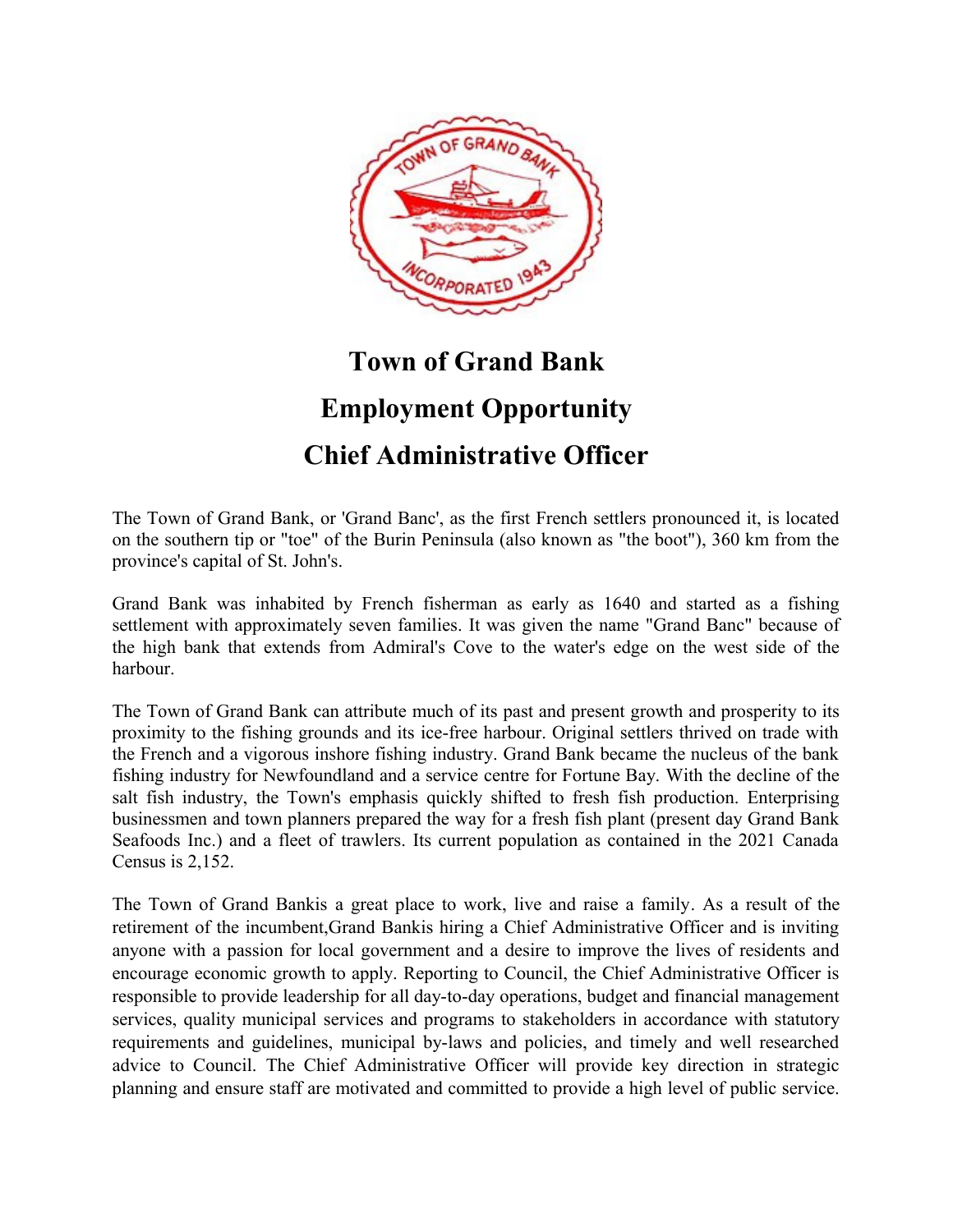

## **Town of Grand Bank Employment Opportunity**

## **Chief Administrative Officer**

The Town of Grand Bank, or 'Grand Banc', as the first French settlers pronounced it, is located on the southern tip or "toe" of the Burin Peninsula (also known as "the boot"), 360 km from the province's capital of St. John's.

Grand Bank was inhabited by French fisherman as early as 1640 and started as a fishing settlement with approximately seven families. It was given the name "Grand Banc" because of the high bank that extends from Admiral's Cove to the water's edge on the west side of the harbour.

The Town of Grand Bank can attribute much of its past and present growth and prosperity to its proximity to the fishing grounds and its ice-free harbour. Original settlers thrived on trade with the French and a vigorous inshore fishing industry. Grand Bank became the nucleus of the bank fishing industry for Newfoundland and a service centre for Fortune Bay. With the decline of the salt fish industry, the Town's emphasis quickly shifted to fresh fish production. Enterprising businessmen and town planners prepared the way for a fresh fish plant (present day Grand Bank Seafoods Inc.) and a fleet of trawlers. Its current population as contained in the 2021 Canada Census is 2,152.

The Town of Grand Bankis a great place to work, live and raise a family. As a result of the retirement of the incumbent,Grand Bankis hiring a Chief Administrative Officer and is inviting anyone with a passion for local government and a desire to improve the lives of residents and encourage economic growth to apply. Reporting to Council, the Chief Administrative Officer is responsible to provide leadership for all day-to-day operations, budget and financial management services, quality municipal services and programs to stakeholders in accordance with statutory requirements and guidelines, municipal by-laws and policies, and timely and well researched advice to Council. The Chief Administrative Officer will provide key direction in strategic planning and ensure staff are motivated and committed to provide a high level of public service.